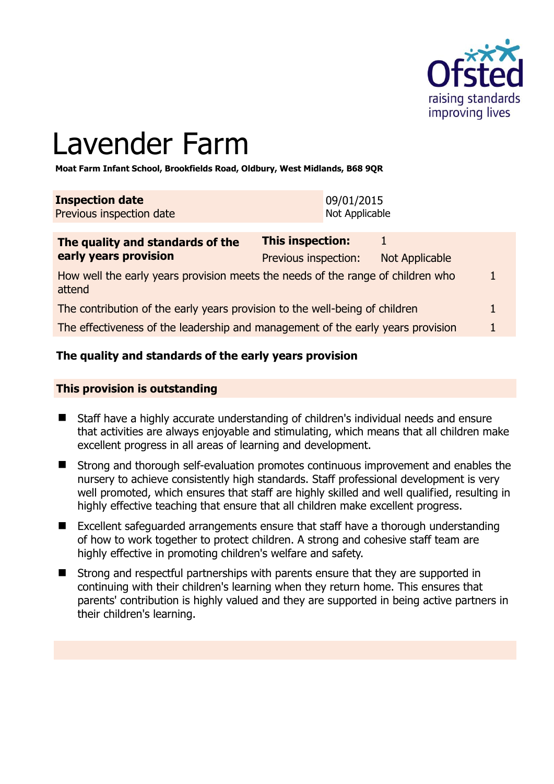

# Lavender Farm

**Moat Farm Infant School, Brookfields Road, Oldbury, West Midlands, B68 9QR** 

| <b>Inspection date</b>   | 09/01/2015     |
|--------------------------|----------------|
| Previous inspection date | Not Applicable |
|                          |                |

| The quality and standards of the                                                          | <b>This inspection:</b> |                |   |
|-------------------------------------------------------------------------------------------|-------------------------|----------------|---|
| early years provision                                                                     | Previous inspection:    | Not Applicable |   |
| How well the early years provision meets the needs of the range of children who<br>attend |                         |                |   |
| The contribution of the early years provision to the well-being of children               |                         |                | L |
| The effectiveness of the leadership and management of the early years provision           |                         |                |   |

# **The quality and standards of the early years provision**

#### **This provision is outstanding**

- Staff have a highly accurate understanding of children's individual needs and ensure that activities are always enjoyable and stimulating, which means that all children make excellent progress in all areas of learning and development.
- Strong and thorough self-evaluation promotes continuous improvement and enables the nursery to achieve consistently high standards. Staff professional development is very well promoted, which ensures that staff are highly skilled and well qualified, resulting in highly effective teaching that ensure that all children make excellent progress.
- Excellent safeguarded arrangements ensure that staff have a thorough understanding of how to work together to protect children. A strong and cohesive staff team are highly effective in promoting children's welfare and safety.
- Strong and respectful partnerships with parents ensure that they are supported in continuing with their children's learning when they return home. This ensures that parents' contribution is highly valued and they are supported in being active partners in their children's learning.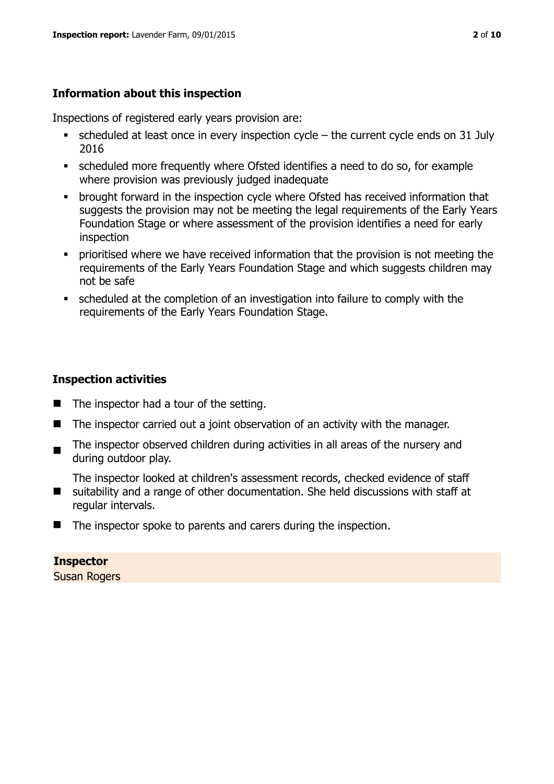# **Information about this inspection**

Inspections of registered early years provision are:

- scheduled at least once in every inspection cycle the current cycle ends on 31 July 2016
- scheduled more frequently where Ofsted identifies a need to do so, for example where provision was previously judged inadequate
- **•** brought forward in the inspection cycle where Ofsted has received information that suggests the provision may not be meeting the legal requirements of the Early Years Foundation Stage or where assessment of the provision identifies a need for early inspection
- **•** prioritised where we have received information that the provision is not meeting the requirements of the Early Years Foundation Stage and which suggests children may not be safe
- scheduled at the completion of an investigation into failure to comply with the requirements of the Early Years Foundation Stage.

# **Inspection activities**

- The inspector had a tour of the setting.
- The inspector carried out a joint observation of an activity with the manager.
- $\blacksquare$ The inspector observed children during activities in all areas of the nursery and during outdoor play.

 $\blacksquare$ The inspector looked at children's assessment records, checked evidence of staff suitability and a range of other documentation. She held discussions with staff at regular intervals.

The inspector spoke to parents and carers during the inspection.

# **Inspector**

Susan Rogers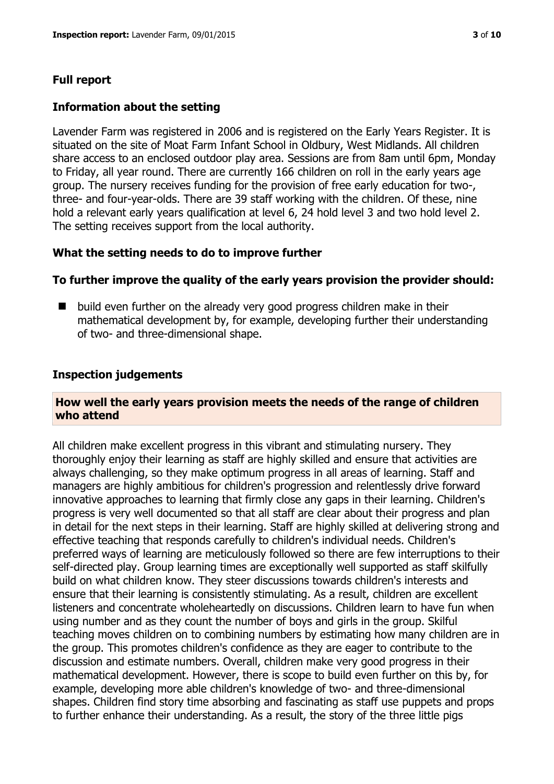#### **Full report**

#### **Information about the setting**

Lavender Farm was registered in 2006 and is registered on the Early Years Register. It is situated on the site of Moat Farm Infant School in Oldbury, West Midlands. All children share access to an enclosed outdoor play area. Sessions are from 8am until 6pm, Monday to Friday, all year round. There are currently 166 children on roll in the early years age group. The nursery receives funding for the provision of free early education for two-, three- and four-year-olds. There are 39 staff working with the children. Of these, nine hold a relevant early years qualification at level 6, 24 hold level 3 and two hold level 2. The setting receives support from the local authority.

#### **What the setting needs to do to improve further**

#### **To further improve the quality of the early years provision the provider should:**

 $\blacksquare$  build even further on the already very good progress children make in their mathematical development by, for example, developing further their understanding of two- and three-dimensional shape.

#### **Inspection judgements**

#### **How well the early years provision meets the needs of the range of children who attend**

All children make excellent progress in this vibrant and stimulating nursery. They thoroughly enjoy their learning as staff are highly skilled and ensure that activities are always challenging, so they make optimum progress in all areas of learning. Staff and managers are highly ambitious for children's progression and relentlessly drive forward innovative approaches to learning that firmly close any gaps in their learning. Children's progress is very well documented so that all staff are clear about their progress and plan in detail for the next steps in their learning. Staff are highly skilled at delivering strong and effective teaching that responds carefully to children's individual needs. Children's preferred ways of learning are meticulously followed so there are few interruptions to their self-directed play. Group learning times are exceptionally well supported as staff skilfully build on what children know. They steer discussions towards children's interests and ensure that their learning is consistently stimulating. As a result, children are excellent listeners and concentrate wholeheartedly on discussions. Children learn to have fun when using number and as they count the number of boys and girls in the group. Skilful teaching moves children on to combining numbers by estimating how many children are in the group. This promotes children's confidence as they are eager to contribute to the discussion and estimate numbers. Overall, children make very good progress in their mathematical development. However, there is scope to build even further on this by, for example, developing more able children's knowledge of two- and three-dimensional shapes. Children find story time absorbing and fascinating as staff use puppets and props to further enhance their understanding. As a result, the story of the three little pigs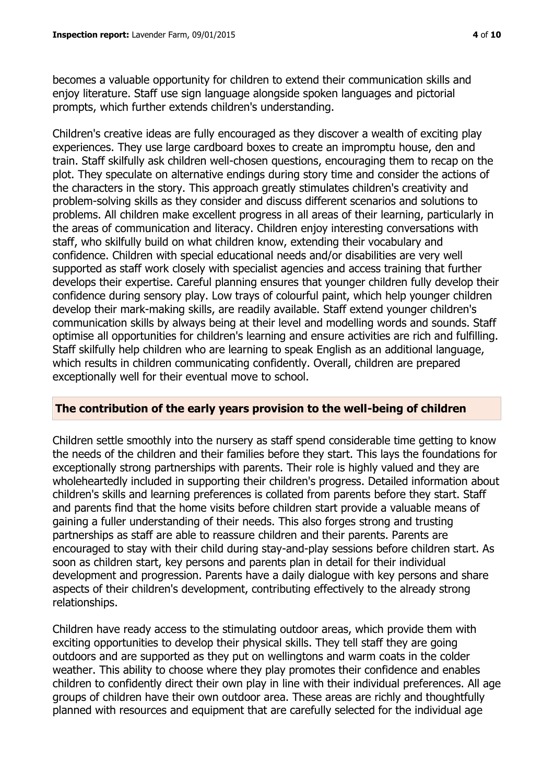becomes a valuable opportunity for children to extend their communication skills and enjoy literature. Staff use sign language alongside spoken languages and pictorial prompts, which further extends children's understanding.

Children's creative ideas are fully encouraged as they discover a wealth of exciting play experiences. They use large cardboard boxes to create an impromptu house, den and train. Staff skilfully ask children well-chosen questions, encouraging them to recap on the plot. They speculate on alternative endings during story time and consider the actions of the characters in the story. This approach greatly stimulates children's creativity and problem-solving skills as they consider and discuss different scenarios and solutions to problems. All children make excellent progress in all areas of their learning, particularly in the areas of communication and literacy. Children enjoy interesting conversations with staff, who skilfully build on what children know, extending their vocabulary and confidence. Children with special educational needs and/or disabilities are very well supported as staff work closely with specialist agencies and access training that further develops their expertise. Careful planning ensures that younger children fully develop their confidence during sensory play. Low trays of colourful paint, which help younger children develop their mark-making skills, are readily available. Staff extend younger children's communication skills by always being at their level and modelling words and sounds. Staff optimise all opportunities for children's learning and ensure activities are rich and fulfilling. Staff skilfully help children who are learning to speak English as an additional language, which results in children communicating confidently. Overall, children are prepared exceptionally well for their eventual move to school.

#### **The contribution of the early years provision to the well-being of children**

Children settle smoothly into the nursery as staff spend considerable time getting to know the needs of the children and their families before they start. This lays the foundations for exceptionally strong partnerships with parents. Their role is highly valued and they are wholeheartedly included in supporting their children's progress. Detailed information about children's skills and learning preferences is collated from parents before they start. Staff and parents find that the home visits before children start provide a valuable means of gaining a fuller understanding of their needs. This also forges strong and trusting partnerships as staff are able to reassure children and their parents. Parents are encouraged to stay with their child during stay-and-play sessions before children start. As soon as children start, key persons and parents plan in detail for their individual development and progression. Parents have a daily dialogue with key persons and share aspects of their children's development, contributing effectively to the already strong relationships.

Children have ready access to the stimulating outdoor areas, which provide them with exciting opportunities to develop their physical skills. They tell staff they are going outdoors and are supported as they put on wellingtons and warm coats in the colder weather. This ability to choose where they play promotes their confidence and enables children to confidently direct their own play in line with their individual preferences. All age groups of children have their own outdoor area. These areas are richly and thoughtfully planned with resources and equipment that are carefully selected for the individual age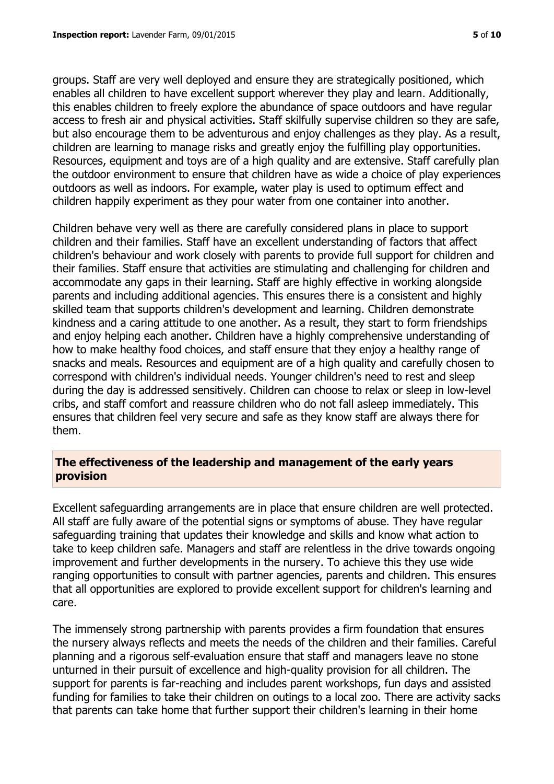groups. Staff are very well deployed and ensure they are strategically positioned, which enables all children to have excellent support wherever they play and learn. Additionally, this enables children to freely explore the abundance of space outdoors and have regular access to fresh air and physical activities. Staff skilfully supervise children so they are safe, but also encourage them to be adventurous and enjoy challenges as they play. As a result, children are learning to manage risks and greatly enjoy the fulfilling play opportunities. Resources, equipment and toys are of a high quality and are extensive. Staff carefully plan the outdoor environment to ensure that children have as wide a choice of play experiences outdoors as well as indoors. For example, water play is used to optimum effect and children happily experiment as they pour water from one container into another.

Children behave very well as there are carefully considered plans in place to support children and their families. Staff have an excellent understanding of factors that affect children's behaviour and work closely with parents to provide full support for children and their families. Staff ensure that activities are stimulating and challenging for children and accommodate any gaps in their learning. Staff are highly effective in working alongside parents and including additional agencies. This ensures there is a consistent and highly skilled team that supports children's development and learning. Children demonstrate kindness and a caring attitude to one another. As a result, they start to form friendships and enjoy helping each another. Children have a highly comprehensive understanding of how to make healthy food choices, and staff ensure that they enjoy a healthy range of snacks and meals. Resources and equipment are of a high quality and carefully chosen to correspond with children's individual needs. Younger children's need to rest and sleep during the day is addressed sensitively. Children can choose to relax or sleep in low-level cribs, and staff comfort and reassure children who do not fall asleep immediately. This ensures that children feel very secure and safe as they know staff are always there for them.

### **The effectiveness of the leadership and management of the early years provision**

Excellent safeguarding arrangements are in place that ensure children are well protected. All staff are fully aware of the potential signs or symptoms of abuse. They have regular safeguarding training that updates their knowledge and skills and know what action to take to keep children safe. Managers and staff are relentless in the drive towards ongoing improvement and further developments in the nursery. To achieve this they use wide ranging opportunities to consult with partner agencies, parents and children. This ensures that all opportunities are explored to provide excellent support for children's learning and care.

The immensely strong partnership with parents provides a firm foundation that ensures the nursery always reflects and meets the needs of the children and their families. Careful planning and a rigorous self-evaluation ensure that staff and managers leave no stone unturned in their pursuit of excellence and high-quality provision for all children. The support for parents is far-reaching and includes parent workshops, fun days and assisted funding for families to take their children on outings to a local zoo. There are activity sacks that parents can take home that further support their children's learning in their home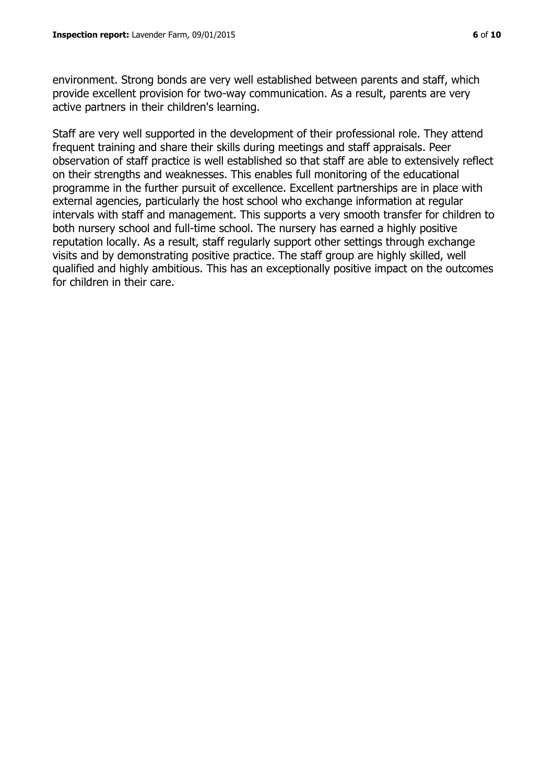environment. Strong bonds are very well established between parents and staff, which provide excellent provision for two-way communication. As a result, parents are very active partners in their children's learning.

Staff are very well supported in the development of their professional role. They attend frequent training and share their skills during meetings and staff appraisals. Peer observation of staff practice is well established so that staff are able to extensively reflect on their strengths and weaknesses. This enables full monitoring of the educational programme in the further pursuit of excellence. Excellent partnerships are in place with external agencies, particularly the host school who exchange information at regular intervals with staff and management. This supports a very smooth transfer for children to both nursery school and full-time school. The nursery has earned a highly positive reputation locally. As a result, staff regularly support other settings through exchange visits and by demonstrating positive practice. The staff group are highly skilled, well qualified and highly ambitious. This has an exceptionally positive impact on the outcomes for children in their care.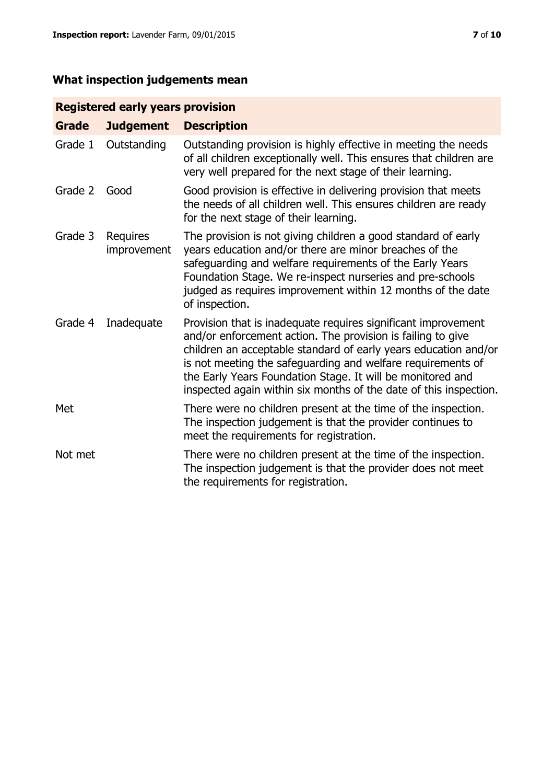# **What inspection judgements mean**

# **Registered early years provision**

| <b>Grade</b> | <b>Judgement</b>               | <b>Description</b>                                                                                                                                                                                                                                                                                                                                                                                |
|--------------|--------------------------------|---------------------------------------------------------------------------------------------------------------------------------------------------------------------------------------------------------------------------------------------------------------------------------------------------------------------------------------------------------------------------------------------------|
| Grade 1      | Outstanding                    | Outstanding provision is highly effective in meeting the needs<br>of all children exceptionally well. This ensures that children are<br>very well prepared for the next stage of their learning.                                                                                                                                                                                                  |
| Grade 2      | Good                           | Good provision is effective in delivering provision that meets<br>the needs of all children well. This ensures children are ready<br>for the next stage of their learning.                                                                                                                                                                                                                        |
| Grade 3      | <b>Requires</b><br>improvement | The provision is not giving children a good standard of early<br>years education and/or there are minor breaches of the<br>safeguarding and welfare requirements of the Early Years<br>Foundation Stage. We re-inspect nurseries and pre-schools<br>judged as requires improvement within 12 months of the date<br>of inspection.                                                                 |
| Grade 4      | Inadequate                     | Provision that is inadequate requires significant improvement<br>and/or enforcement action. The provision is failing to give<br>children an acceptable standard of early years education and/or<br>is not meeting the safeguarding and welfare requirements of<br>the Early Years Foundation Stage. It will be monitored and<br>inspected again within six months of the date of this inspection. |
| Met          |                                | There were no children present at the time of the inspection.<br>The inspection judgement is that the provider continues to<br>meet the requirements for registration.                                                                                                                                                                                                                            |
| Not met      |                                | There were no children present at the time of the inspection.<br>The inspection judgement is that the provider does not meet<br>the requirements for registration.                                                                                                                                                                                                                                |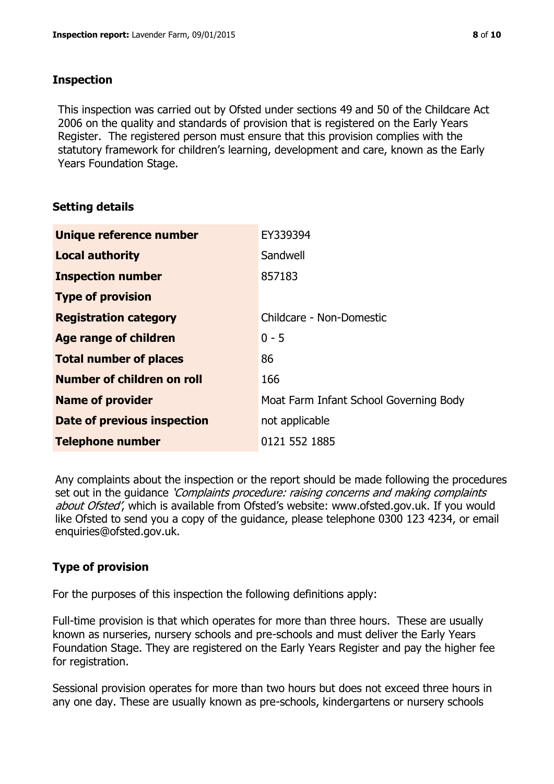### **Inspection**

This inspection was carried out by Ofsted under sections 49 and 50 of the Childcare Act 2006 on the quality and standards of provision that is registered on the Early Years Register. The registered person must ensure that this provision complies with the statutory framework for children's learning, development and care, known as the Early Years Foundation Stage.

# **Setting details**

| Unique reference number       | EY339394                               |
|-------------------------------|----------------------------------------|
| <b>Local authority</b>        | Sandwell                               |
| <b>Inspection number</b>      | 857183                                 |
| <b>Type of provision</b>      |                                        |
| <b>Registration category</b>  | Childcare - Non-Domestic               |
| Age range of children         | $0 - 5$                                |
| <b>Total number of places</b> | 86                                     |
| Number of children on roll    | 166                                    |
| <b>Name of provider</b>       | Moat Farm Infant School Governing Body |
| Date of previous inspection   | not applicable                         |
| <b>Telephone number</b>       | 0121 552 1885                          |

Any complaints about the inspection or the report should be made following the procedures set out in the guidance *'Complaints procedure: raising concerns and making complaints* about Ofsted', which is available from Ofsted's website: www.ofsted.gov.uk. If you would like Ofsted to send you a copy of the guidance, please telephone 0300 123 4234, or email enquiries@ofsted.gov.uk.

# **Type of provision**

For the purposes of this inspection the following definitions apply:

Full-time provision is that which operates for more than three hours. These are usually known as nurseries, nursery schools and pre-schools and must deliver the Early Years Foundation Stage. They are registered on the Early Years Register and pay the higher fee for registration.

Sessional provision operates for more than two hours but does not exceed three hours in any one day. These are usually known as pre-schools, kindergartens or nursery schools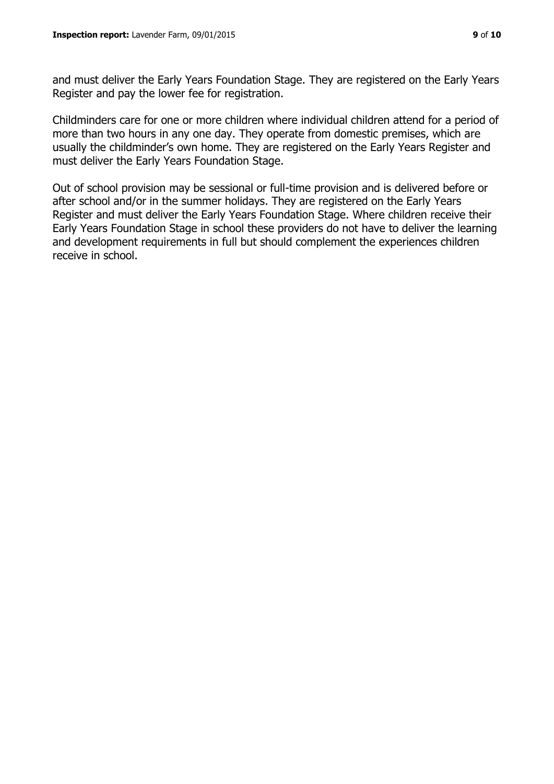and must deliver the Early Years Foundation Stage. They are registered on the Early Years Register and pay the lower fee for registration.

Childminders care for one or more children where individual children attend for a period of more than two hours in any one day. They operate from domestic premises, which are usually the childminder's own home. They are registered on the Early Years Register and must deliver the Early Years Foundation Stage.

Out of school provision may be sessional or full-time provision and is delivered before or after school and/or in the summer holidays. They are registered on the Early Years Register and must deliver the Early Years Foundation Stage. Where children receive their Early Years Foundation Stage in school these providers do not have to deliver the learning and development requirements in full but should complement the experiences children receive in school.